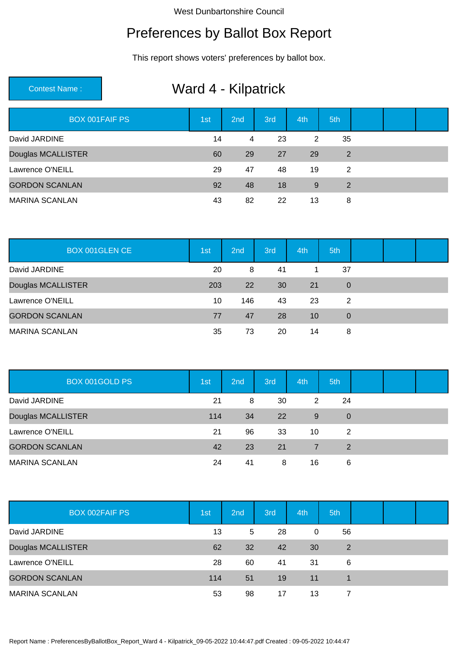#### Preferences by Ballot Box Report

This report shows voters' preferences by ballot box.

# Contest Name : Ward 4 - Kilpatrick

| <b>BOX 001FAIF PS</b> | 1st | 2nd | 3rd | 4th | 5th |  |  |
|-----------------------|-----|-----|-----|-----|-----|--|--|
| David JARDINE         | 14  | 4   | 23  | 2   | 35  |  |  |
| Douglas MCALLISTER    | 60  | 29  | 27  | 29  | 2   |  |  |
| Lawrence O'NEILL      | 29  | 47  | 48  | 19  | 2   |  |  |
| <b>GORDON SCANLAN</b> | 92  | 48  | 18  | 9   | 2   |  |  |
| <b>MARINA SCANLAN</b> | 43  | 82  | 22  | 13  | 8   |  |  |

| <b>BOX 001GLEN CE</b> | 1st | 2nd       | 3rd | 4th | 5th            |  |  |
|-----------------------|-----|-----------|-----|-----|----------------|--|--|
| David JARDINE         | 20  | 8         | 41  |     | 37             |  |  |
| Douglas MCALLISTER    | 203 | <b>22</b> | 30  | 21  | $\overline{0}$ |  |  |
| Lawrence O'NEILL      | 10  | 146       | 43  | 23  | 2              |  |  |
| <b>GORDON SCANLAN</b> | 77  | 47        | 28  | 10  | $\Omega$       |  |  |
| <b>MARINA SCANLAN</b> | 35  | 73        | 20  | 14  | 8              |  |  |

| BOX 001GOLD PS        | 1st | 2nd | 3rd | 4th | 5th         |  |  |
|-----------------------|-----|-----|-----|-----|-------------|--|--|
| David JARDINE         | 21  | 8   | 30  | 2   | 24          |  |  |
| Douglas MCALLISTER    | 114 | 34  | 22  | 9   | $\mathbf 0$ |  |  |
| Lawrence O'NEILL      | 21  | 96  | 33  | 10  | 2           |  |  |
| <b>GORDON SCANLAN</b> | 42  | 23  | 21  | 7   | 2           |  |  |
| <b>MARINA SCANLAN</b> | 24  | 41  | 8   | 16  | 6           |  |  |

| <b>BOX 002FAIF PS</b> | 1st | 2nd | 3rd | 4th | 5th            |  |  |
|-----------------------|-----|-----|-----|-----|----------------|--|--|
| David JARDINE         | 13  | 5   | 28  | 0   | 56             |  |  |
| Douglas MCALLISTER    | 62  | 32  | 42  | 30  | $\overline{2}$ |  |  |
| Lawrence O'NEILL      | 28  | 60  | 41  | -31 | 6              |  |  |
| <b>GORDON SCANLAN</b> | 114 | 51  | 19  | 11  |                |  |  |
| <b>MARINA SCANLAN</b> | 53  | 98  | 17  | 13  |                |  |  |

Report Name : PreferencesByBallotBox\_Report\_Ward 4 - Kilpatrick\_09-05-2022 10:44:47.pdf Created : 09-05-2022 10:44:47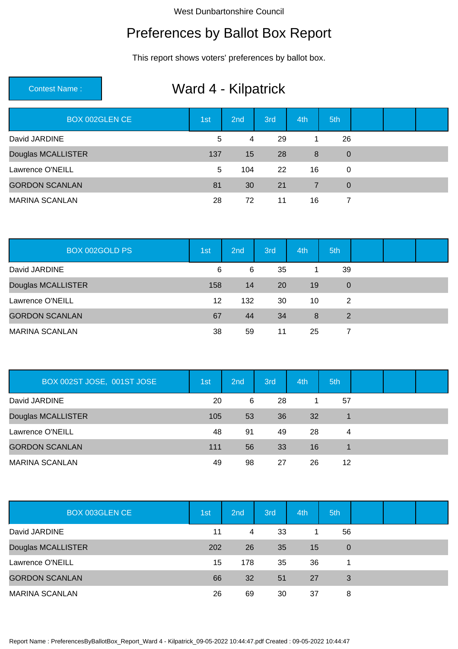#### Preferences by Ballot Box Report

This report shows voters' preferences by ballot box.

# Contest Name : Ward 4 - Kilpatrick

| BOX 002GLEN CE        | 1 <sub>st</sub> | 2nd | 3rd | 4th            | 5th            |  |  |
|-----------------------|-----------------|-----|-----|----------------|----------------|--|--|
| David JARDINE         | 5               | 4   | 29  | 1              | 26             |  |  |
| Douglas MCALLISTER    | 137             | 15  | 28  | 8              | $\overline{0}$ |  |  |
| Lawrence O'NEILL      | 5               | 104 | 22  | 16             | 0              |  |  |
| <b>GORDON SCANLAN</b> | 81              | 30  | 21  | $\overline{7}$ | $\Omega$       |  |  |
| <b>MARINA SCANLAN</b> | 28              | 72  | 11  | 16             | 7              |  |  |

| BOX 002GOLD PS        | 1st | 2nd | 3rd       | 4th | 5th         |  |  |
|-----------------------|-----|-----|-----------|-----|-------------|--|--|
| David JARDINE         | 6   | 6   | 35        |     | 39          |  |  |
| Douglas MCALLISTER    | 158 | 14  | <b>20</b> | 19  | $\mathbf 0$ |  |  |
| Lawrence O'NEILL      | 12  | 132 | 30        | 10  | 2           |  |  |
| <b>GORDON SCANLAN</b> | 67  | 44  | 34        | 8   | 2           |  |  |
| <b>MARINA SCANLAN</b> | 38  | 59  | 11        | 25  |             |  |  |

| BOX 002ST JOSE, 001ST JOSE | 1st | 2nd | 3rd | 4th | 5th |  |  |
|----------------------------|-----|-----|-----|-----|-----|--|--|
| David JARDINE              | 20  | 6   | 28  |     | 57  |  |  |
| Douglas MCALLISTER         | 105 | 53  | 36  | 32  |     |  |  |
| Lawrence O'NEILL           | 48  | 91  | 49  | 28  | 4   |  |  |
| <b>GORDON SCANLAN</b>      | 111 | 56  | 33  | 16  |     |  |  |
| <b>MARINA SCANLAN</b>      | 49  | 98  | 27  | 26  | 12  |  |  |

| BOX 003GLEN CE        | 1st <sup>i</sup> | 2nd | 3rd | 4th | 5th            |  |  |
|-----------------------|------------------|-----|-----|-----|----------------|--|--|
| David JARDINE         | 11               | 4   | 33  |     | 56             |  |  |
| Douglas MCALLISTER    | 202              | 26  | 35  | 15  | $\overline{0}$ |  |  |
| Lawrence O'NEILL      | 15               | 178 | 35  | 36  |                |  |  |
| <b>GORDON SCANLAN</b> | 66               | 32  | 51  | 27  | 3              |  |  |
| <b>MARINA SCANLAN</b> | 26               | 69  | 30  | 37  | 8              |  |  |

Report Name : PreferencesByBallotBox\_Report\_Ward 4 - Kilpatrick\_09-05-2022 10:44:47.pdf Created : 09-05-2022 10:44:47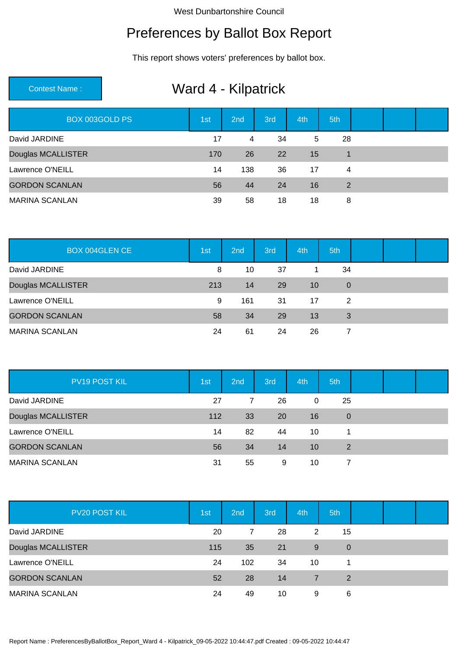### Preferences by Ballot Box Report

This report shows voters' preferences by ballot box.

# Contest Name : Ward 4 - Kilpatrick

| BOX 003GOLD PS        | 1st | 2nd | 3rd | 4th | 5th            |  |  |
|-----------------------|-----|-----|-----|-----|----------------|--|--|
| David JARDINE         | 17  | 4   | 34  | 5   | 28             |  |  |
| Douglas MCALLISTER    | 170 | 26  | 22  | 15  | $\mathbf 1$    |  |  |
| Lawrence O'NEILL      | 14  | 138 | 36  | 17  | $\overline{4}$ |  |  |
| <b>GORDON SCANLAN</b> | 56  | 44  | 24  | 16  | 2              |  |  |
| <b>MARINA SCANLAN</b> | 39  | 58  | 18  | 18  | 8              |  |  |

| <b>BOX 004GLEN CE</b> | 1st | 2nd | 3rd | 4th | 5th         |  |  |
|-----------------------|-----|-----|-----|-----|-------------|--|--|
| David JARDINE         | 8   | 10  | 37  | 1   | 34          |  |  |
| Douglas MCALLISTER    | 213 | 14  | 29  | 10  | $\mathbf 0$ |  |  |
| Lawrence O'NEILL      | 9   | 161 | 31  | 17  | 2           |  |  |
| <b>GORDON SCANLAN</b> | 58  | 34  | 29  | 13  | 3           |  |  |
| <b>MARINA SCANLAN</b> | 24  | 61  | 24  | 26  |             |  |  |

| <b>PV19 POST KIL</b>  | 1st | 2 <sub>nd</sub> | 3rd       | 4th | 5th            |  |  |
|-----------------------|-----|-----------------|-----------|-----|----------------|--|--|
| David JARDINE         | 27  | 7               | 26        | 0   | 25             |  |  |
| Douglas MCALLISTER    | 112 | 33              | <b>20</b> | 16  | $\overline{0}$ |  |  |
| Lawrence O'NEILL      | 14  | 82              | 44        | 10  |                |  |  |
| <b>GORDON SCANLAN</b> | 56  | 34              | 14        | 10  | 2              |  |  |
| <b>MARINA SCANLAN</b> | 31  | 55              | 9         | 10  |                |  |  |

| PV20 POST KIL         | 1st | 2nd | 3rd | 4th | 5th            |  |  |
|-----------------------|-----|-----|-----|-----|----------------|--|--|
| David JARDINE         | 20  | 7   | 28  | 2   | 15             |  |  |
| Douglas MCALLISTER    | 115 | 35  | 21  | 9   | $\overline{0}$ |  |  |
| Lawrence O'NEILL      | 24  | 102 | 34  | 10  |                |  |  |
| <b>GORDON SCANLAN</b> | 52  | 28  | 14  |     | 2              |  |  |
| <b>MARINA SCANLAN</b> | 24  | 49  | 10  | 9   | 6              |  |  |

Report Name : PreferencesByBallotBox\_Report\_Ward 4 - Kilpatrick\_09-05-2022 10:44:47.pdf Created : 09-05-2022 10:44:47